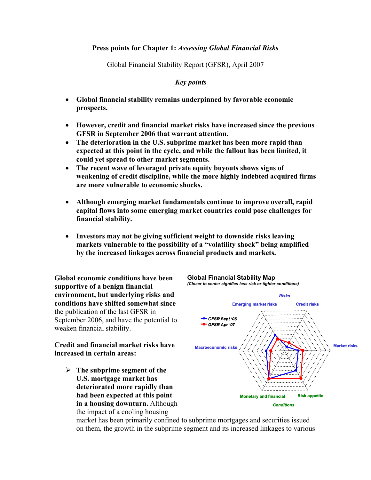## **Press points for Chapter 1:** *Assessing Global Financial Risks*

Global Financial Stability Report (GFSR), April 2007

## *Key points*

- **Global financial stability remains underpinned by favorable economic prospects.**
- **However, credit and financial market risks have increased since the previous GFSR in September 2006 that warrant attention.**
- **The deterioration in the U.S. subprime market has been more rapid than expected at this point in the cycle, and while the fallout has been limited, it could yet spread to other market segments.**
- **The recent wave of leveraged private equity buyouts shows signs of weakening of credit discipline, while the more highly indebted acquired firms are more vulnerable to economic shocks.**
- **Although emerging market fundamentals continue to improve overall, rapid capital flows into some emerging market countries could pose challenges for financial stability.**
- **Investors may not be giving sufficient weight to downside risks leaving markets vulnerable to the possibility of a "volatility shock" being amplified by the increased linkages across financial products and markets.**

**Global Financial Stability Map**

**Global economic conditions have been supportive of a benign financial environment, but underlying risks and conditions have shifted somewhat since**  the publication of the last GFSR in September 2006, and have the potential to weaken financial stability.

**Credit and financial market risks have increased in certain areas:** 

¾ **The subprime segment of the U.S. mortgage market has deteriorated more rapidly than had been expected at this point in a housing downturn.** Although the impact of a cooling housing



market has been primarily confined to subprime mortgages and securities issued on them, the growth in the subprime segment and its increased linkages to various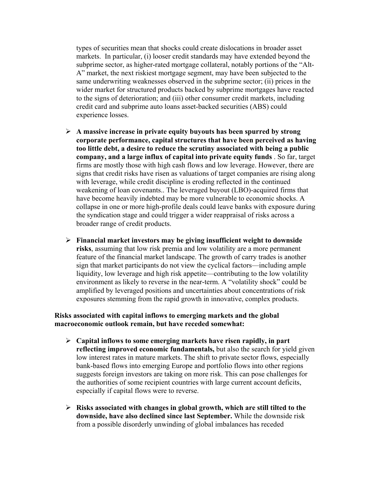types of securities mean that shocks could create dislocations in broader asset markets. In particular, (i) looser credit standards may have extended beyond the subprime sector, as higher-rated mortgage collateral, notably portions of the "Alt-A" market, the next riskiest mortgage segment, may have been subjected to the same underwriting weaknesses observed in the subprime sector; (ii) prices in the wider market for structured products backed by subprime mortgages have reacted to the signs of deterioration; and (iii) other consumer credit markets, including credit card and subprime auto loans asset-backed securities (ABS) could experience losses.

- ¾ **A massive increase in private equity buyouts has been spurred by strong corporate performance, capital structures that have been perceived as having too little debt, a desire to reduce the scrutiny associated with being a public company, and a large influx of capital into private equity funds** . So far, target firms are mostly those with high cash flows and low leverage. However, there are signs that credit risks have risen as valuations of target companies are rising along with leverage, while credit discipline is eroding reflected in the continued weakening of loan covenants.. The leveraged buyout (LBO)-acquired firms that have become heavily indebted may be more vulnerable to economic shocks. A collapse in one or more high-profile deals could leave banks with exposure during the syndication stage and could trigger a wider reappraisal of risks across a broader range of credit products.
- ¾ **Financial market investors may be giving insufficient weight to downside risks**, assuming that low risk premia and low volatility are a more permanent feature of the financial market landscape. The growth of carry trades is another sign that market participants do not view the cyclical factors—including ample liquidity, low leverage and high risk appetite—contributing to the low volatility environment as likely to reverse in the near-term. A "volatility shock" could be amplified by leveraged positions and uncertainties about concentrations of risk exposures stemming from the rapid growth in innovative, complex products.

## **Risks associated with capital inflows to emerging markets and the global macroeconomic outlook remain, but have receded somewhat:**

- ¾ **Capital inflows to some emerging markets have risen rapidly, in part reflecting improved economic fundamentals,** but also the search for yield given low interest rates in mature markets. The shift to private sector flows, especially bank-based flows into emerging Europe and portfolio flows into other regions suggests foreign investors are taking on more risk. This can pose challenges for the authorities of some recipient countries with large current account deficits, especially if capital flows were to reverse.
- ¾ **Risks associated with changes in global growth, which are still tilted to the downside, have also declined since last September.** While the downside risk from a possible disorderly unwinding of global imbalances has receded